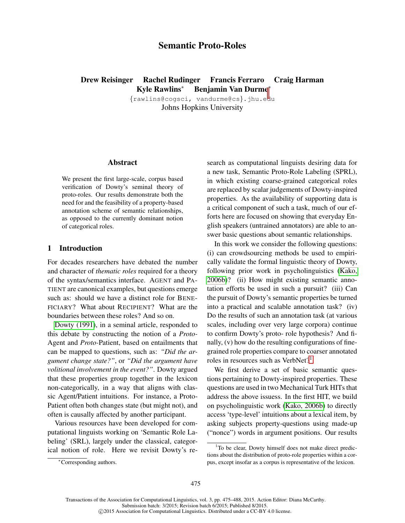# Semantic Proto-Roles

# <span id="page-0-0"></span>Drew Reisinger Rachel Rudinger Francis Ferraro Craig Harman Kyle Rawlins<sup>∗</sup> Benjamin Van Durme[∗](#page-0-0)

{rawlins@cogsci, vandurme@cs}.jhu.edu Johns Hopkins University

#### Abstract

We present the first large-scale, corpus based verification of Dowty's seminal theory of proto-roles. Our results demonstrate both the need for and the feasibility of a property-based annotation scheme of semantic relationships, as opposed to the currently dominant notion of categorical roles.

# 1 Introduction

For decades researchers have debated the number and character of *thematic roles* required for a theory of the syntax/semantics interface. AGENT and PA-TIENT are canonical examples, but questions emerge such as: should we have a distinct role for BENE-FICIARY? What about RECIPIENT? What are the boundaries between these roles? And so on.

[Dowty \(1991\)](#page-0-0), in a seminal article, responded to this debate by constructing the notion of a *Proto-*Agent and *Proto-*Patient, based on entailments that can be mapped to questions, such as: *"Did the argument change state?"*, or *"Did the argument have volitional involvement in the event?"*. Dowty argued that these properties group together in the lexicon non-categorically, in a way that aligns with classic Agent/Patient intuitions. For instance, a Proto-Patient often both changes state (but might not), and often is causally affected by another participant.

Various resources have been developed for computational linguists working on 'Semantic Role Labeling' (SRL), largely under the classical, categorical notion of role. Here we revisit Dowty's research as computational linguists desiring data for a new task, Semantic Proto-Role Labeling (SPRL), in which existing coarse-grained categorical roles are replaced by scalar judgements of Dowty-inspired properties. As the availability of supporting data is a critical component of such a task, much of our efforts here are focused on showing that everyday English speakers (untrained annotators) are able to answer basic questions about semantic relationships.

In this work we consider the following questions: (i) can crowdsourcing methods be used to empirically validate the formal linguistic theory of Dowty, following prior work in psycholinguistics [\(Kako,](#page-0-0) [2006b\)](#page-0-0)? (ii) How might existing semantic annotation efforts be used in such a pursuit? (iii) Can the pursuit of Dowty's semantic properties be turned into a practical and scalable annotation task? (iv) Do the results of such an annotation task (at various scales, including over very large corpora) continue to confirm Dowty's proto- role hypothesis? And finally, (v) how do the resulting configurations of finegrained role properties compare to coarser annotated roles in resources such as VerbNet?<sup>[1](#page-0-1)</sup>

We first derive a set of basic semantic questions pertaining to Dowty-inspired properties. These questions are used in two Mechanical Turk HITs that address the above issuess. In the first HIT, we build on psycholinguistic work [\(Kako, 2006b\)](#page-0-0) to directly access 'type-level' intuitions about a lexical item, by asking subjects property-questions using made-up ("nonce") words in argument positions. Our results

<span id="page-0-1"></span><sup>&</sup>lt;sup>1</sup>To be clear, Dowty himself does not make direct predictions about the distribution of proto-role properties within a corpus, except insofar as a corpus is representative of the lexicon.

<sup>∗</sup>Corresponding authors.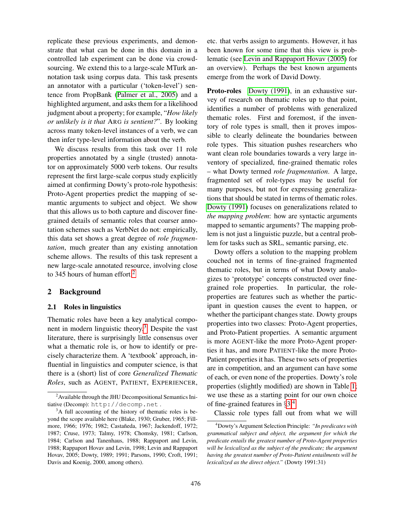replicate these previous experiments, and demonstrate that what can be done in this domain in a controlled lab experiment can be done via crowdsourcing. We extend this to a large-scale MTurk annotation task using corpus data. This task presents an annotator with a particular ('token-level') sentence from PropBank [\(Palmer et al., 2005\)](#page-0-0) and a highlighted argument, and asks them for a likelihood judgment about a property; for example, "*How likely or unlikely is it that* ARG *is sentient?*". By looking across many token-level instances of a verb, we can then infer type-level information about the verb.

We discuss results from this task over 11 role properties annotated by a single (trusted) annotator on approximately 5000 verb tokens. Our results represent the first large-scale corpus study explicitly aimed at confirming Dowty's proto-role hypothesis: Proto-Agent properties predict the mapping of semantic arguments to subject and object. We show that this allows us to both capture and discover finegrained details of semantic roles that coarser annotation schemes such as VerbNet do not: empirically, this data set shows a great degree of *role fragmentation*, much greater than any existing annotation scheme allows. The results of this task represent a new large-scale annotated resource, involving close to 345 hours of human effort.<sup>[2](#page-1-0)</sup>

# 2 Background

#### <span id="page-1-3"></span>2.1 Roles in linguistics

Thematic roles have been a key analytical compo-nent in modern linguistic theory.<sup>[3](#page-1-1)</sup> Despite the vast literature, there is surprisingly little consensus over what a thematic role is, or how to identify or precisely characterize them. A 'textbook' approach, influential in linguistics and computer science, is that there is a (short) list of core *Generalized Thematic Roles*, such as AGENT, PATIENT, EXPERIENCER, etc. that verbs assign to arguments. However, it has been known for some time that this view is problematic (see [Levin and Rappaport Hovav \(2005\)](#page-0-0) for an overview). Perhaps the best known arguments emerge from the work of David Dowty.

Proto-roles [Dowty \(1991\)](#page-0-0), in an exhaustive survey of research on thematic roles up to that point, identifies a number of problems with generalized thematic roles. First and foremost, if the inventory of role types is small, then it proves impossible to clearly delineate the boundaries between role types. This situation pushes researchers who want clean role boundaries towards a very large inventory of specialized, fine-grained thematic roles – what Dowty termed *role fragmentation*. A large, fragmented set of role-types may be useful for many purposes, but not for expressing generalizations that should be stated in terms of thematic roles. [Dowty \(1991\)](#page-0-0) focuses on generalizations related to *the mapping problem*: how are syntactic arguments mapped to semantic arguments? The mapping problem is not just a linguistic puzzle, but a central problem for tasks such as SRL, semantic parsing, etc.

Dowty offers a solution to the mapping problem couched not in terms of fine-grained fragmented thematic roles, but in terms of what Dowty analogizes to 'prototype' concepts constructed over finegrained role properties. In particular, the roleproperties are features such as whether the participant in question causes the event to happen, or whether the participant changes state. Dowty groups properties into two classes: Proto-Agent properties, and Proto-Patient properties. A semantic argument is more AGENT-like the more Proto-Agent properties it has, and more PATIENT-like the more Proto-Patient properties it has. These two sets of properties are in competition, and an argument can have some of each, or even none of the properties. Dowty's role properties (slightly modified) are shown in Table [1;](#page-2-0) we use these as a starting point for our own choice of fine-grained features in §[3.](#page-4-0)[4](#page-1-2)

Classic role types fall out from what we will

<span id="page-1-0"></span><sup>&</sup>lt;sup>2</sup> Available through the JHU Decompositional Semantics Initiative (Decomp): http://decomp.net .

<span id="page-1-1"></span><sup>&</sup>lt;sup>3</sup>A full accounting of the history of thematic roles is beyond the scope available here (Blake, 1930; Gruber, 1965; Fillmore, 1966; 1976; 1982; Castañeda, 1967; Jackendoff, 1972; 1987; Cruse, 1973; Talmy, 1978; Chomsky, 1981; Carlson, 1984; Carlson and Tanenhaus, 1988; Rappaport and Levin, 1988; Rappaport Hovav and Levin, 1998; Levin and Rappaport Hovav, 2005; Dowty, 1989; 1991; Parsons, 1990; Croft, 1991; Davis and Koenig, 2000, among others).

<span id="page-1-2"></span><sup>4</sup>Dowty's Argument Selection Principle: *"In predicates with grammatical subject and object, the argument for which the predicate entails the greatest number of Proto-Agent properties will be lexicalized as the subject of the predicate; the argument having the greatest number of Proto-Patient entailments will be lexicalized as the direct object."* (Dowty 1991:31)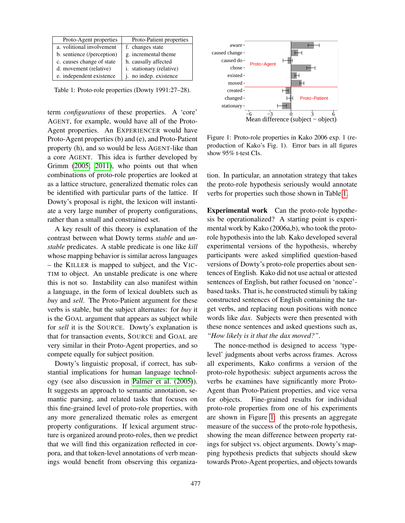| Proto-Agent properties     | Proto-Patient properties |
|----------------------------|--------------------------|
| a. volitional involvement  | f. changes state         |
| b. sentience (/perception) | g. incremental theme     |
| c. causes change of state  | h. causally affected     |
| d. movement (relative)     | i. stationary (relative) |
| e. independent existence   | j. no indep. existence   |

<span id="page-2-0"></span>Table 1: Proto-role properties (Dowty 1991:27–28).

term *configurations* of these properties. A 'core' AGENT, for example, would have all of the Proto-Agent properties. An EXPERIENCER would have Proto-Agent properties (b) and (e), and Proto-Patient property (h), and so would be less AGENT-like than a core AGENT. This idea is further developed by Grimm [\(2005; 2011\)](#page-0-0), who points out that when combinations of proto-role properties are looked at as a lattice structure, generalized thematic roles can be identified with particular parts of the lattice. If Dowty's proposal is right, the lexicon will instantiate a very large number of property configurations, rather than a small and constrained set.

A key result of this theory is explanation of the contrast between what Dowty terms *stable* and *unstable* predicates. A stable predicate is one like *kill* whose mapping behavior is similar across languages – the KILLER is mapped to subject, and the VIC-TIM to object. An unstable predicate is one where this is not so. Instability can also manifest within a language, in the form of lexical doublets such as *buy* and *sell*. The Proto-Patient argument for these verbs is stable, but the subject alternates: for *buy* it is the GOAL argument that appears as subject while for *sell* it is the SOURCE. Dowty's explanation is that for transaction events, SOURCE and GOAL are very similar in their Proto-Agent properties, and so compete equally for subject position.

Dowty's linguistic proposal, if correct, has substantial implications for human language technology (see also discussion in [Palmer et al. \(2005\)](#page-0-0)). It suggests an approach to semantic annotation, semantic parsing, and related tasks that focuses on this fine-grained level of proto-role properties, with any more generalized thematic roles as emergent property configurations. If lexical argument structure is organized around proto-roles, then we predict that we will find this organization reflected in corpora, and that token-level annotations of verb meanings would benefit from observing this organiza-



<span id="page-2-1"></span>Figure 1: Proto-role properties in Kako 2006 exp. 1 (reproduction of Kako's Fig. 1). Error bars in all figures show 95% t-test CIs.

tion. In particular, an annotation strategy that takes the proto-role hypothesis seriously would annotate verbs for properties such those shown in Table [1.](#page-2-0)

Experimental work Can the proto-role hypothesis be operationalized? A starting point is experimental work by Kako (2006a,b), who took the protorole hypothesis into the lab. Kako developed several experimental versions of the hypothesis, whereby participants were asked simplified question-based versions of Dowty's proto-role properties about sentences of English. Kako did not use actual or attested sentences of English, but rather focused on 'nonce' based tasks. That is, he constructed stimuli by taking constructed sentences of English containing the target verbs, and replacing noun positions with nonce words like *dax*. Subjects were then presented with these nonce sentences and asked questions such as, *"How likely is it that the dax moved?"*.

The nonce-method is designed to access 'typelevel' judgments about verbs across frames. Across all experiments, Kako confirms a version of the proto-role hypothesis: subject arguments across the verbs he examines have significantly more Proto-Agent than Proto-Patient properties, and vice versa for objects. Fine-grained results for individual proto-role properties from one of his experiments are shown in Figure [1:](#page-2-1) this presents an aggregate measure of the success of the proto-role hypothesis, showing the mean difference between property ratings for subject vs. object arguments. Dowty's mapping hypothesis predicts that subjects should skew towards Proto-Agent properties, and objects towards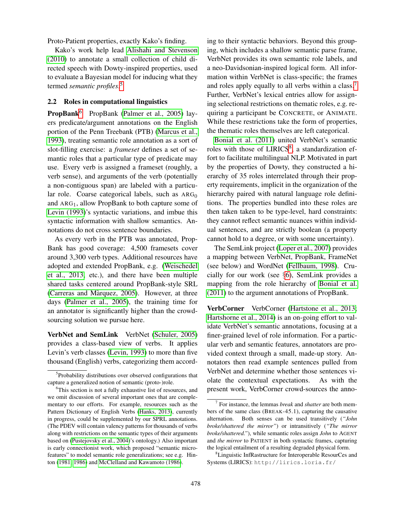Proto-Patient properties, exactly Kako's finding.

Kako's work help lead [Alishahi and Stevenson](#page-0-0) [\(2010\)](#page-0-0) to annotate a small collection of child directed speech with Dowty-inspired properties, used to evaluate a Bayesian model for inducing what they termed *semantic profiles*. [5](#page-3-0)

# 2.2 Roles in computational linguistics

**PropBank**<sup>[6](#page-3-1)</sup> PropBank [\(Palmer et al., 2005\)](#page-0-0) layers predicate/argument annotations on the English portion of the Penn Treebank (PTB) [\(Marcus et al.,](#page-0-0) [1993\)](#page-0-0), treating semantic role annotation as a sort of slot-filling exercise: a *frameset* defines a set of semantic roles that a particular type of predicate may use. Every verb is assigned a frameset (roughly, a verb sense), and arguments of the verb (potentially a non-contiguous span) are labeled with a particular role. Coarse categorical labels, such as  $ARG<sub>0</sub>$ and  $ARG<sub>1</sub>$ , allow PropBank to both capture some of [Levin \(1993\)](#page-0-0)'s syntactic variations, and imbue this syntactic information with shallow semantics. Annotations do not cross sentence boundaries.

As every verb in the PTB was annotated, Prop-Bank has good coverage: 4,500 framesets cover around 3,300 verb types. Additional resources have adopted and extended PropBank, e.g. [\(Weischedel](#page-0-0) [et al., 2013,](#page-0-0) etc.), and there have been multiple shared tasks centered around PropBank-style SRL (Carreras and Màrquez, 2005). However, at three days [\(Palmer et al., 2005\)](#page-0-0), the training time for an annotator is significantly higher than the crowdsourcing solution we pursue here.

VerbNet and SemLink VerbNet [\(Schuler, 2005\)](#page-0-0) provides a class-based view of verbs. It applies Levin's verb classes [\(Levin, 1993\)](#page-0-0) to more than five thousand (English) verbs, categorizing them according to their syntactic behaviors. Beyond this grouping, which includes a shallow semantic parse frame, VerbNet provides its own semantic role labels, and a neo-Davidsonian-inspired logical form. All information within VerbNet is class-specific; the frames and roles apply equally to all verbs within a class.[7](#page-3-2) Further, VerbNet's lexical entries allow for assigning selectional restrictions on thematic roles, e.g. requiring a participant be CONCRETE, or ANIMATE. While these restrictions take the form of properties, the thematic roles themselves are left categorical.

[Bonial et al. \(2011\)](#page-0-0) united VerbNet's semantic roles with those of LIRICS<sup>[8](#page-3-3)</sup>, a standardization effort to facilitate multilingual NLP. Motivated in part by the properties of Dowty, they constructed a hierarchy of 35 roles interrelated through their property requirements, implicit in the organization of the hierarchy paired with natural language role definitions. The properties bundled into these roles are then taken taken to be type-level, hard constraints: they cannot reflect semantic nuances within individual sentences, and are strictly boolean (a property cannot hold to a degree, or with some uncertainty).

The SemLink project [\(Loper et al., 2007\)](#page-0-0) provides a mapping between VerbNet, PropBank, FrameNet (see below) and WordNet [\(Fellbaum, 1998\)](#page-0-0). Crucially for our work (see §[6\)](#page-8-0), SemLink provides a mapping from the role hierarchy of [Bonial et al.](#page-0-0) [\(2011\)](#page-0-0) to the argument annotations of PropBank.

VerbCorner VerbCorner [\(Hartstone et al., 2013;](#page-0-0) [Hartshorne et al., 2014\)](#page-0-0) is an on-going effort to validate VerbNet's semantic annotations, focusing at a finer-grained level of role information. For a particular verb and semantic features, annotators are provided context through a small, made-up story. Annotators then read example sentences pulled from VerbNet and determine whether those sentences violate the contextual expectations. As with the present work, VerbCorner crowd-sources the anno-

<span id="page-3-0"></span><sup>&</sup>lt;sup>5</sup>Probability distributions over observed configurations that capture a generalized notion of semantic (proto-)role.

<span id="page-3-1"></span><sup>&</sup>lt;sup>6</sup>This section is not a fully exhaustive list of resources, and we omit discussion of several important ones that are complementary to our efforts. For example, resources such as the Pattern Dictionary of English Verbs [\(Hanks, 2013\)](#page-0-0), currently in progress, could be supplemented by our SPRL annotations. (The PDEV will contain valency patterns for thousands of verbs along with restrictions on the semantic types of their arguments based on [\(Pustejovsky et al., 2004\)](#page-0-0)'s ontology.) Also important is early connectionist work, which proposed "semantic microfeatures" to model semantic role generalizations; see e.g. Hinton [\(1981; 1986\)](#page-0-0) and [McClelland and Kawamoto \(1986\)](#page-0-0).

<span id="page-3-2"></span><sup>7</sup> For instance, the lemmas *break* and *shatter* are both members of the same class (BREAK-45.1), capturing the causative alternation. Both senses can be used transitively (*"John broke/shattered the mirror"*) or intransitively (*"The mirror broke/shattered."*), while semantic roles assign *John* to AGENT and *the mirror* to PATIENT in both syntactic frames, capturing the logical entailment of a resulting degraded physical form.

<span id="page-3-3"></span><sup>8</sup>Linguistic InfRastructure for Interoperable ResourCes and Systems (LIRICS): http://lirics.loria.fr/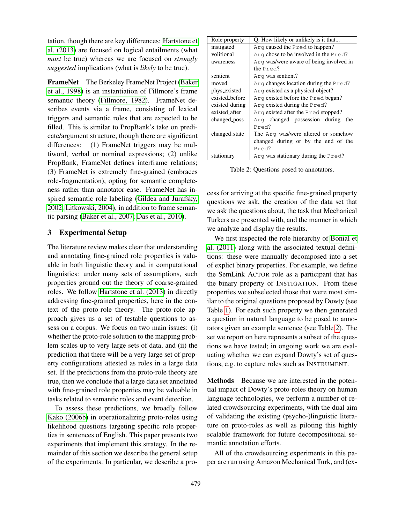tation, though there are key differences: [Hartstone et](#page-0-0) [al. \(2013\)](#page-0-0) are focused on logical entailments (what *must* be true) whereas we are focused on *strongly suggested* implications (what is *likely* to be true).

FrameNet The Berkeley FrameNet Project [\(Baker](#page-0-0) [et al., 1998\)](#page-0-0) is an instantiation of Fillmore's frame semantic theory [\(Fillmore, 1982\)](#page-0-0). FrameNet describes events via a frame, consisting of lexical triggers and semantic roles that are expected to be filled. This is similar to PropBank's take on predicate/argument structure, though there are significant differences: (1) FrameNet triggers may be multiword, verbal or nominal expressions; (2) unlike PropBank, FrameNet defines interframe relations; (3) FrameNet is extremely fine-grained (embraces role-fragmentation), opting for semantic completeness rather than annotator ease. FrameNet has inspired semantic role labeling [\(Gildea and Jurafsky,](#page-0-0) [2002; Litkowski, 2004\)](#page-0-0), in addition to frame semantic parsing [\(Baker et al., 2007; Das et al., 2010\)](#page-0-0).

# <span id="page-4-0"></span>3 Experimental Setup

The literature review makes clear that understanding and annotating fine-grained role properties is valuable in both linguistic theory and in computational linguistics: under many sets of assumptions, such properties ground out the theory of coarse-grained roles. We follow [Hartstone et al. \(2013\)](#page-0-0) in directly addressing fine-grained properties, here in the context of the proto-role theory. The proto-role approach gives us a set of testable questions to assess on a corpus. We focus on two main issues: (i) whether the proto-role solution to the mapping problem scales up to very large sets of data, and (ii) the prediction that there will be a very large set of property configurations attested as roles in a large data set. If the predictions from the proto-role theory are true, then we conclude that a large data set annotated with fine-grained role properties may be valuable in tasks related to semantic roles and event detection.

To assess these predictions, we broadly follow [Kako \(2006b\)](#page-0-0) in operationalizing proto-roles using likelihood questions targeting specific role properties in sentences of English. This paper presents two experiments that implement this strategy. In the remainder of this section we describe the general setup of the experiments. In particular, we describe a pro-

| Role property  | Q: How likely or unlikely is it that    |  |  |  |  |  |
|----------------|-----------------------------------------|--|--|--|--|--|
| instigated     | Arg caused the Pred to happen?          |  |  |  |  |  |
| volitional     | Arg chose to be involved in the Pred?   |  |  |  |  |  |
| awareness      | Arg was/were aware of being involved in |  |  |  |  |  |
|                | the Pred?                               |  |  |  |  |  |
| sentient       | Arg was sentient?                       |  |  |  |  |  |
| moved          | Arg changes location during the $Pred?$ |  |  |  |  |  |
| phys_existed   | Arg existed as a physical object?       |  |  |  |  |  |
| existed_before | Arg existed before the Pred began?      |  |  |  |  |  |
| existed_during | Arg existed during the Pred?            |  |  |  |  |  |
| existed after  | Arg existed after the Pred stopped?     |  |  |  |  |  |
| changed_poss   | Arg changed possession during<br>the    |  |  |  |  |  |
|                | Pred?                                   |  |  |  |  |  |
| changed_state  | The Arq was/were altered or somehow     |  |  |  |  |  |
|                | changed during or by the end of the     |  |  |  |  |  |
|                | Pred?                                   |  |  |  |  |  |
| stationary     | Arg was stationary during the Pred?     |  |  |  |  |  |

<span id="page-4-1"></span>Table 2: Questions posed to annotators.

cess for arriving at the specific fine-grained property questions we ask, the creation of the data set that we ask the questions about, the task that Mechanical Turkers are presented with, and the manner in which we analyze and display the results.

We first inspected the role hierarchy of [Bonial et](#page-0-0) [al. \(2011\)](#page-0-0) along with the associated textual definitions: these were manually decomposed into a set of explict binary properties. For example, we define the SemLink ACTOR role as a participant that has the binary property of INSTIGATION. From these properties we subselected those that were most similar to the original questions proposed by Dowty (see Table [1\)](#page-2-0). For each such property we then generated a question in natural language to be posed to annotators given an example sentence (see Table [2\)](#page-4-1). The set we report on here represents a subset of the questions we have tested; in ongoing work we are evaluating whether we can expand Dowty's set of questions, e.g. to capture roles such as INSTRUMENT.

Methods Because we are interested in the potential impact of Dowty's proto-roles theory on human language technologies, we perform a number of related crowdsourcing experiments, with the dual aim of validating the existing (psycho-)linguistic literature on proto-roles as well as piloting this highly scalable framework for future decompositional semantic annotation efforts.

All of the crowdsourcing experiments in this paper are run using Amazon Mechanical Turk, and (ex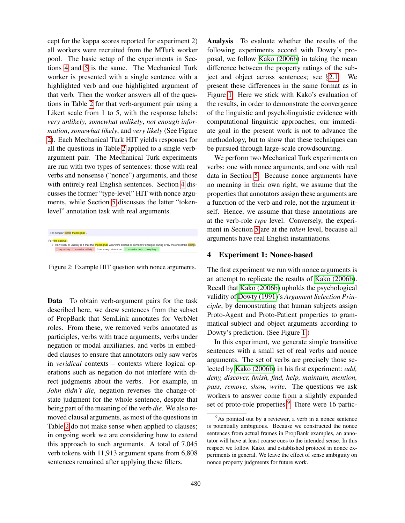cept for the kappa scores reported for experiment 2) all workers were recruited from the MTurk worker pool. The basic setup of the experiments in Sections [4](#page-5-0) and [5](#page-6-0) is the same. The Mechanical Turk worker is presented with a single sentence with a highlighted verb and one highlighted argument of that verb. Then the worker answers all of the questions in Table [2](#page-4-1) for that verb-argument pair using a Likert scale from 1 to 5, with the response labels: *very unlikely*, *somewhat unlikely*, *not enough information*, *somewhat likely*, and *very likely* (See Figure [2\)](#page-5-1). Each Mechanical Turk HIT yields responses for all the questions in Table [2](#page-4-1) applied to a single verbargument pair. The Mechanical Turk experiments are run with two types of sentences: those with real verbs and nonsense ("nonce") arguments, and those with entirely real English sentences. Section [4](#page-5-0) discusses the former "type-level" HIT with nonce arguments, while Section [5](#page-6-0) discusses the latter "tokenlevel" annotation task with real arguments.

|                 | The neeglur killed the boarub.      |                                                          |                                                                                                                             |
|-----------------|-------------------------------------|----------------------------------------------------------|-----------------------------------------------------------------------------------------------------------------------------|
| For the boarub: |                                     |                                                          | . How likely or unlikely is it that the the bogrub was/were altered or somehow changed during or by the end of the killing? |
|                 | O very unlikely O somewhat unlikely | □ not enough information O somewhat likely O very likely |                                                                                                                             |

<span id="page-5-1"></span>Figure 2: Example HIT question with nonce arguments.

Data To obtain verb-argument pairs for the task described here, we drew sentences from the subset of PropBank that SemLink annotates for VerbNet roles. From these, we removed verbs annotated as participles, verbs with trace arguments, verbs under negation or modal auxiliaries, and verbs in embedded clauses to ensure that annotators only saw verbs in *veridical* contexts – contexts where logical operations such as negation do not interfere with direct judgments about the verbs. For example, in *John didn't die*, negation reverses the change-ofstate judgment for the whole sentence, despite that being part of the meaning of the verb *die*. We also removed clausal arguments, as most of the questions in Table [2](#page-4-1) do not make sense when applied to clauses; in ongoing work we are considering how to extend this approach to such arguments. A total of 7,045 verb tokens with 11,913 argument spans from 6,808 sentences remained after applying these filters.

Analysis To evaluate whether the results of the following experiments accord with Dowty's proposal, we follow [Kako \(2006b\)](#page-0-0) in taking the mean difference between the property ratings of the subject and object across sentences; see §[2.1.](#page-1-3) We present these differences in the same format as in Figure [1.](#page-2-1) Here we stick with Kako's evaluation of the results, in order to demonstrate the convergence of the linguistic and psycholinguistic evidence with computational linguistic approaches; our immediate goal in the present work is not to advance the methodology, but to show that these techniques can be pursued through large-scale crowdsourcing.

We perform two Mechanical Turk experiments on verbs: one with nonce arguments, and one with real data in Section [5.](#page-6-0) Because nonce arguments have no meaning in their own right, we assume that the properties that annotators assign these arguments are a function of the verb and role, not the argument itself. Hence, we assume that these annotations are at the verb-role *type* level. Conversely, the experiment in Section [5](#page-6-0) are at the *token* level, because all arguments have real English instantiations.

## <span id="page-5-0"></span>4 Experiment 1: Nonce-based

The first experiment we run with nonce arguments is an attempt to replicate the results of [Kako \(2006b\)](#page-0-0). Recall that [Kako \(2006b\)](#page-0-0) upholds the psychological validity of [Dowty \(1991\)](#page-0-0)'s *Argument Selection Principle*, by demonstrating that human subjects assign Proto-Agent and Proto-Patient properties to grammatical subject and object arguments according to Dowty's prediction. (See Figure [1.](#page-2-1))

In this experiment, we generate simple transitive sentences with a small set of real verbs and nonce arguments. The set of verbs are precisely those selected by [Kako \(2006b\)](#page-0-0) in his first experiment: *add, deny, discover, finish, find, help, maintain, mention, pass, remove, show, write*. The questions we ask workers to answer come from a slightly expanded set of proto-role properties.<sup>[9](#page-5-2)</sup> There were 16 partic-

<span id="page-5-2"></span><sup>&</sup>lt;sup>9</sup>As pointed out by a reviewer, a verb in a nonce sentence is potentially ambiguous. Because we constructed the nonce sentences from actual frames in PropBank examples, an annotator will have at least coarse cues to the intended sense. In this respect we follow Kako, and established protocol in nonce experiments in general. We leave the effect of sense ambiguity on nonce property judgments for future work.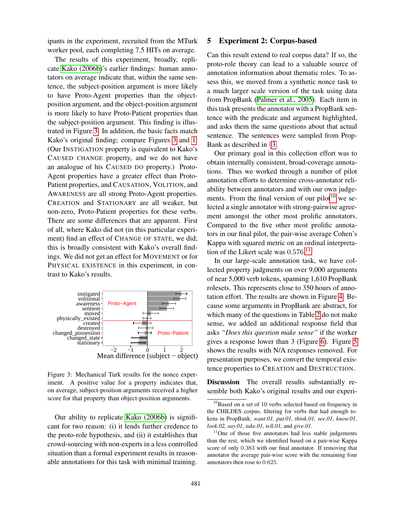ipants in the experiment, recruited from the MTurk worker pool, each completing 7.5 HITs on average.

The results of this experiment, broadly, replicate [Kako \(2006b\)](#page-0-0)'s earlier findings: human annotators on average indicate that, within the same sentence, the subject-position argument is more likely to have Proto-Agent properties than the objectposition argument, and the object-position argument is more likely to have Proto-Patient properties than the subject-position argument. This finding is illustrated in Figure [3.](#page-6-1) In addition, the basic facts match Kako's original finding; compare Figures [3](#page-6-1) and [1.](#page-2-1) (Our INSTIGATION property is equivalent to Kako's CAUSED CHANGE property, and we do not have an analogue of his CAUSED DO property.) Proto-Agent properties have a greater effect than Proto-Patient properties, and CAUSATION, VOLITION, and AWARENESS are all strong Proto-Agent properties. CREATION and STATIONARY are all weaker, but non-zero, Proto-Patient properties for these verbs. There are some differences that are apparent. First of all, where Kako did not (in this particular experiment) find an effect of CHANGE OF STATE, we did; this is broadly consistent with Kako's overall findings. We did not get an effect for MOVEMENT or for PHYSICAL EXISTENCE in this experiment, in contrast to Kako's results.



<span id="page-6-1"></span>Figure 3: Mechanical Turk results for the nonce experiment. A positive value for a property indicates that, on average, subject-position arguments received a higher score for that property than object-position arguments.

Our ability to replicate [Kako \(2006b\)](#page-0-0) is significant for two reason: (i) it lends further credence to the proto-role hypothesis, and (ii) it establishes that crowd-sourcing with non-experts in a less controlled situation than a formal experiment results in reasonable annotations for this task with minimal training.

#### <span id="page-6-0"></span>5 Experiment 2: Corpus-based

Can this result extend to real corpus data? If so, the proto-role theory can lead to a valuable source of annotation information about thematic roles. To assess this, we moved from a synthetic nonce task to a much larger scale version of the task using data from PropBank [\(Palmer et al., 2005\)](#page-0-0). Each item in this task presents the annotator with a PropBank sentence with the predicate and argument highlighted, and asks them the same questions about that actual sentence. The sentences were sampled from Prop-Bank as described in §[3.](#page-4-0)

Our primary goal in this collection effort was to obtain internally consistent, broad-coverage annotations. Thus we worked through a number of pilot annotation efforts to determine cross-annotator reliability between annotators and with our own judge-ments. From the final version of our pilot<sup>[10](#page-6-2)</sup> we selected a single annotator with strong-pairwise agreement amongst the other most prolific annotators. Compared to the five other most prolific annotators in our final pilot, the pair-wise average Cohen's Kappa with squared metric on an ordinal interpretation of the Likert scale was  $0.576$ .<sup>[11](#page-6-3)</sup>

In our large-scale annotation task, we have collected property judgments on over 9,000 arguments of near 5,000 verb tokens, spanning 1,610 PropBank rolesets. This represents close to 350 hours of annotation effort. The results are shown in Figure [4.](#page-7-0) Because some arguments in PropBank are abstract, for which many of the questions in Table [2](#page-4-1) do not make sense, we added an additional response field that asks *"Does this question make sense"* if the worker gives a response lower than 3 (Figure [6\)](#page-7-1). Figure [5](#page-7-2) shows the results with N/A responses removed. For presentation purposes, we convert the temporal existence properties to CREATION and DESTRUCTION.

Discussion The overall results substantially resemble both Kako's original results and our experi-

<span id="page-6-2"></span><sup>&</sup>lt;sup>10</sup>Based on a set of 10 verbs selected based on frequency in the CHILDES corpus, filtering for verbs that had enough tokens in PropBank; *want.01, put.01, think.01, see.01, know.01, look.02, say.01, take.01, tell.01,* and *give.01*.

<span id="page-6-3"></span> $11$ One of those five annotators had less stable judgements than the rest, which we identified based on a pair-wise Kappa score of only 0.383 with our final annotator. If removing that annotator the average pair-wise score with the remaining four annotators then rose to 0.625.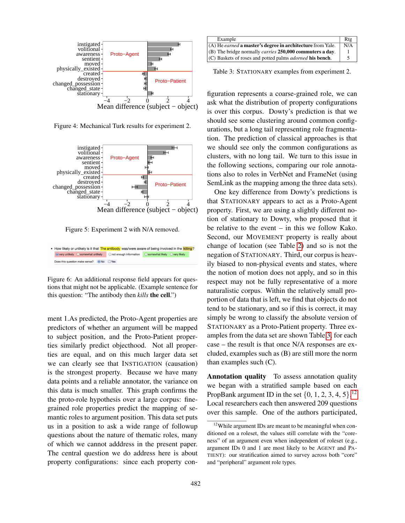

<span id="page-7-0"></span>Figure 4: Mechanical Turk results for experiment 2.



<span id="page-7-2"></span>Figure 5: Experiment 2 with N/A removed.

• How likely or unlikely is it that The antibody was/were aware of being involved in the killing? Does this question make sense? <br>
■ No 
<br>
■ Yes

<span id="page-7-1"></span>Figure 6: An additional response field appears for questions that might not be applicable. (Example sentence for this question: "The antibody then *kills* the cell.")

ment 1.As predicted, the Proto-Agent properties are predictors of whether an argument will be mapped to subject position, and the Proto-Patient properties similarly predict objecthood. Not all properties are equal, and on this much larger data set we can clearly see that INSTIGATION (causation) is the strongest property. Because we have many data points and a reliable annotator, the variance on this data is much smaller. This graph confirms the the proto-role hypothesis over a large corpus: finegrained role properties predict the mapping of semantic roles to argument position. This data set puts us in a position to ask a wide range of followup questions about the nature of thematic roles, many of which we cannot adddress in the present paper. The central question we do address here is about property configurations: since each property con-

| Example                                                           | Rtg |
|-------------------------------------------------------------------|-----|
| (A) He <i>earned</i> a master's degree in architecture from Yale. | N/A |
| (B) The bridge normally <i>carries</i> 250,000 commuters a day.   |     |
| $(C)$ Baskets of roses and potted palms <i>adorned</i> his bench. |     |

<span id="page-7-3"></span>Table 3: STATIONARY examples from experiment 2.

figuration represents a coarse-grained role, we can ask what the distribution of property configurations is over this corpus. Dowty's prediction is that we should see some clustering around common configurations, but a long tail representing role fragmentation. The prediction of classical approaches is that we should see only the common configurations as clusters, with no long tail. We turn to this issue in the following sections, comparing our role annotations also to roles in VerbNet and FrameNet (using SemLink as the mapping among the three data sets).

One key difference from Dowty's predictions is that STATIONARY appears to act as a Proto-Agent property. First, we are using a slightly different notion of stationary to Dowty, who proposed that it be relative to the event – in this we follow Kako. Second, our MOVEMENT property is really about change of location (see Table [2\)](#page-4-1) and so is not the negation of STATIONARY. Third, our corpus is heavily biased to non-physical events and states, where the notion of motion does not apply, and so in this respect may not be fully representative of a more naturalistic corpus. Within the relatively small proportion of data that is left, we find that objects do not tend to be stationary, and so if this is correct, it may simply be wrong to classify the absolute version of STATIONARY as a Proto-Patient property. Three examples from the data set are shown Table [3,](#page-7-3) for each case – the result is that once N/A responses are excluded, examples such as (B) are still more the norm than examples such  $(C)$ .

Annotation quality To assess annotation quality we began with a stratified sample based on each PropBank argument ID in the set  $\{0, 1, 2, 3, 4, 5\}$ .<sup>[12](#page-7-4)</sup> Local researchers each then answered 209 questions over this sample. One of the authors participated,

<span id="page-7-4"></span><sup>&</sup>lt;sup>12</sup>While argument IDs are meant to be meaningful when conditioned on a roleset, the values still correlate with the "coreness" of an argument even when independent of roleset (e.g., argument IDs 0 and 1 are most likely to be AGENT and PA-TIENT): our stratification aimed to survey across both "core" and "peripheral" argument role types.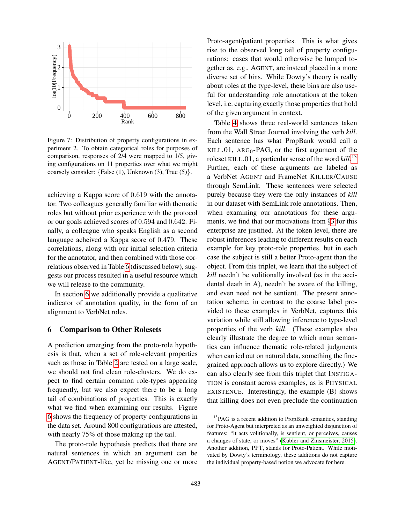

<span id="page-8-1"></span>Figure 7: Distribution of property configurations in experiment 2. To obtain categorical roles for purposes of comparison, responses of 2/4 were mapped to 1/5, giving configurations on 11 properties over what we might coarsely consider:  ${False (1), Unknown (3), True (5)}.$ 

achieving a Kappa score of 0.619 with the annotator. Two colleagues generally familiar with thematic roles but without prior experience with the protocol or our goals achieved scores of 0.594 and 0.642. Finally, a colleague who speaks English as a second language acheived a Kappa score of 0.479. These correlations, along with our initial selection criteria for the annotator, and then combined with those correlations observed in Table [6](#page-10-0) (discussed below), suggests our process resulted in a useful resource which we will release to the community.

In section [6](#page-8-0) we additionally provide a qualitative indicator of annotation quality, in the form of an alignment to VerbNet roles.

#### <span id="page-8-0"></span>6 Comparison to Other Rolesets

A prediction emerging from the proto-role hypothesis is that, when a set of role-relevant properties such as those in Table [2](#page-4-1) are tested on a large scale, we should not find clean role-clusters. We do expect to find certain common role-types appearing frequently, but we also expect there to be a long tail of combinations of properties. This is exactly what we find when examining our results. Figure [6](#page-8-1) shows the frequency of property configurations in the data set. Around 800 configurations are attested, with nearly 75% of those making up the tail.

The proto-role hypothesis predicts that there are natural sentences in which an argument can be AGENT/PATIENT-like, yet be missing one or more

Proto-agent/patient properties. This is what gives rise to the observed long tail of property configurations: cases that would otherwise be lumped together as, e.g., AGENT, are instead placed in a more diverse set of bins. While Dowty's theory is really about roles at the type-level, these bins are also useful for understanding role annotations at the token level, i.e. capturing exactly those properties that hold of the given argument in context.

Table [4](#page-9-0) shows three real-world sentences taken from the Wall Street Journal involving the verb *kill*. Each sentence has what PropBank would call a KILL.01,  $ARG_0$ -PAG, or the first argument of the roleset KILL.01, a particular sense of the word *kill*. [13](#page-8-2) Further, each of these arguments are labeled as a VerbNet AGENT and FrameNet KILLER/CAUSE through SemLink. These sentences were selected purely because they were the only instances of *kill* in our dataset with SemLink role annotations. Then, when examining our annotations for these arguments, we find that our motivations from §[3](#page-4-0) for this enterprise are justified. At the token level, there are robust inferences leading to different results on each example for key proto-role properties, but in each case the subject is still a better Proto-agent than the object. From this triplet, we learn that the subject of *kill* needn't be volitionally involved (as in the accidental death in A), needn't be aware of the killing, and even need not be sentient. The present annotation scheme, in contrast to the coarse label provided to these examples in VerbNet, captures this variation while still allowing inference to type-level properties of the verb *kill*. (These examples also clearly illustrate the degree to which noun semantics can influence thematic role-related judgments when carried out on natural data, something the finegrained approach allows us to explore directly.) We can also clearly see from this triplet that INSTIGA-TION is constant across examples, as is PHYSICAL EXISTENCE. Interestingly, the example (B) shows that killing does not even preclude the continuation

<span id="page-8-2"></span> $13PAG$  is a recent addition to PropBank semantics, standing for Proto-Agent but interpreted as an unweighted disjunction of features: "it acts volitionally, is sentient, or perceives, causes a changes of state, or moves" (Kübler and Zinsmeister, 2015). Another addition, PPT, stands for Proto-Patient. While motivated by Dowty's terminology, these additions do not capture the individual property-based notion we advocate for here.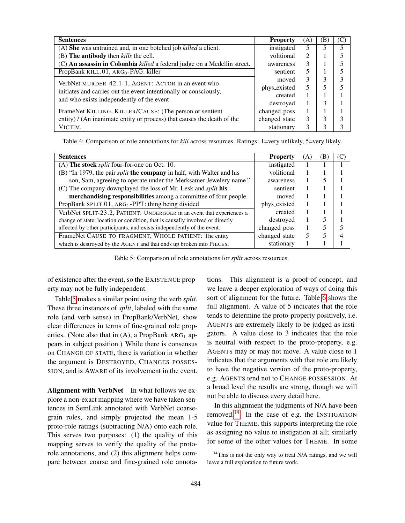| <b>Sentences</b>                                                         | <b>Property</b> | (A) | ΈB) |  |
|--------------------------------------------------------------------------|-----------------|-----|-----|--|
| (A) She was untrained and, in one botched job killed a client.           | instigated      | 5   |     |  |
| (B) The antibody then kills the cell.                                    | volitional      | 2   |     |  |
| (C) An assassin in Colombia killed a federal judge on a Medellin street. | awareness       | 3   |     |  |
| PropBank KILL.01, ARG <sub>0</sub> -PAG: killer                          | sentient        | 5   |     |  |
| VerbNet MURDER-42.1-1, AGENT: ACTOR in an event who                      | moved           | 3   | 3   |  |
| initiates and carries out the event intentionally or consciously,        | phys_existed    | 5   | 5   |  |
| and who exists independently of the event                                | created         |     |     |  |
|                                                                          | destroyed       |     | 3   |  |
| FrameNet KILLING, KILLER/CAUSE: (The person or sentient                  | changed_poss    |     |     |  |
| entity) / (An inanimate entity or process) that causes the death of the  | changed_state   | 3   | 3   |  |
| VICTIM.                                                                  | stationary      | 3   | 3   |  |

<span id="page-9-0"></span>Table 4: Comparison of role annotations for *kill* across resources. Ratings: 1=very unlikely, 5=very likely.

| <b>Sentences</b>                                                              | <b>Property</b> | (A) | ΈB |  |
|-------------------------------------------------------------------------------|-----------------|-----|----|--|
| (A) The stock <i>split</i> four-for-one on Oct. 10.                           | instigated      |     |    |  |
| (B) "In 1979, the pair <i>split</i> the company in half, with Walter and his  | volitional      |     |    |  |
| son, Sam, agreeing to operate under the Merksamer Jewelery name."             | awareness       |     |    |  |
| (C) The company downplayed the loss of Mr. Lesk and <i>split</i> his          | sentient        | I.  |    |  |
| merchandising responsibilities among a committee of four people.              | moved           | I.  |    |  |
| PropBank SPLIT.01, ARG <sub>1</sub> -PPT: thing being divided                 | phys_existed    |     |    |  |
| VerbNet SPLIT-23.2, PATIENT: UNDERGOER in an event that experiences a         | created         |     |    |  |
| change of state, location or condition, that is causally involved or directly | destroyed       |     |    |  |
| affected by other participants, and exists independently of the event.        | changed_poss    |     |    |  |
| FrameNet CAUSE_TO_FRAGMENT, WHOLE_PATIENT: The entity                         | changed_state   | 5   |    |  |
| which is destroyed by the AGENT and that ends up broken into PIECES.          | stationary      |     |    |  |

<span id="page-9-1"></span>Table 5: Comparison of role annotations for *split* across resources.

of existence after the event, so the EXISTENCE property may not be fully independent.

Table [5](#page-9-1) makes a similar point using the verb *split*. These three instances of *split*, labeled with the same role (and verb sense) in PropBank/VerbNet, show clear differences in terms of fine-grained role properties. (Note also that in  $(A)$ , a PropBank ARG<sub>1</sub> appears in subject position.) While there is consensus on CHANGE OF STATE, there is variation in whether the argument is DESTROYED, CHANGES POSSES-SION, and is AWARE of its involvement in the event.

Alignment with VerbNet In what follows we explore a non-exact mapping where we have taken sentences in SemLink annotated with VerbNet coarsegrain roles, and simply projected the mean 1-5 proto-role ratings (subtracting N/A) onto each role. This serves two purposes: (1) the quality of this mapping serves to verify the quality of the protorole annotations, and (2) this alignment helps compare between coarse and fine-grained role annotations. This alignment is a proof-of-concept, and we leave a deeper exploration of ways of doing this sort of alignment for the future. Table [6](#page-10-0) shows the full alignment. A value of 5 indicates that the role tends to determine the proto-property positively, i.e. AGENTS are extremely likely to be judged as instigators. A value close to 3 indicates that the role is neutral with respect to the proto-property, e.g. AGENTS may or may not move. A value close to 1 indicates that the arguments with that role are likely to have the negative version of the proto-property, e.g. AGENTS tend not to CHANGE POSSESSION. At a broad level the results are strong, though we will not be able to discuss every detail here.

In this alignment the judgments of N/A have been removed.[14](#page-9-2) In the case of e.g. the INSTIGATION value for THEME, this supports interpreting the role as assigning no value to instigation at all; similarly for some of the other values for THEME. In some

<span id="page-9-2"></span><sup>&</sup>lt;sup>14</sup>This is not the only way to treat N/A ratings, and we will leave a full exploration to future work.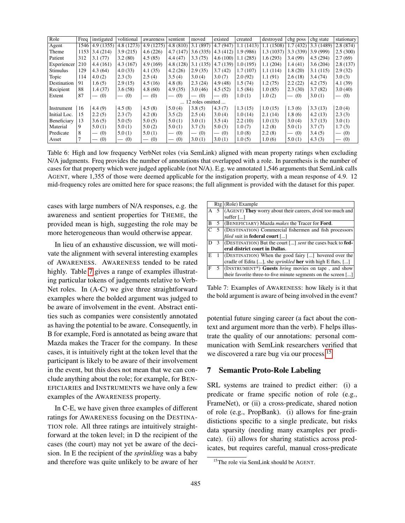| Role            |      | Freq   instigated               | volitional                      | awareness                | sentient                               | moved            | existed  | created   | destroyed | chg poss                        | chg state  | stationary                             |
|-----------------|------|---------------------------------|---------------------------------|--------------------------|----------------------------------------|------------------|----------|-----------|-----------|---------------------------------|------------|----------------------------------------|
| Agent           | 1546 | 4.9(1355)                       | 4.8(1273)                       | 4.9(1275)                | 4.8(810)                               | 3.1(897)         | 4.7(947) | 1.1(1413) | 1.1(1508) | 1.7(432)                        | 3.3 (1489) | 2.8(874)                               |
| Theme           | 1153 | 3.4(214)                        | 3.9(215)                        | 4.6(226)                 | 4.7(147)                               | 3.6(335)         | 4.3(412) | 1.9(986)  | 1.3(1037) | 3.3(339)                        | 3.9(999)   | 2.5(300)                               |
| Patient         | 312  | 3.1(77)                         | 3.2(80)                         | 4.5(85)                  | 4.4(47)                                | 3.3(75)          | 4.6(100) | 1.1(285)  | 1.6(293)  | 3.4(99)                         | 4.5(294)   | 2.7(69)                                |
| Experiencer     | 210  | 4.4(161)                        | 4.3(167)                        | 4.9(169)                 | 4.8(128)                               | 3.1(135)         | 4.7(139) | 1.0(195)  | 1.1(204)  | 1.4(41)                         | 3.6(204)   | 2.8(137)                               |
| <b>Stimulus</b> | 129  | 4.3(64)                         | 4.0(33)                         | 4.1(35)                  | 4.2(26)                                | 2.9(35)          | 3.7(42)  | 1.7(107)  | 1.1(114)  | 1.8(20)                         | 3.1(115)   | 2.9(32)                                |
| Topic           | 114  | 4.0(2)                          | 2.3(3)                          | 2.5(4)                   | 3.5(4)                                 | 3.0(4)           | 3.0(7)   | 2.0(92)   | 1.1(91)   | 2.6(18)                         | 3.4(74)    | 3.0(3)                                 |
| Destination     | 91   | 1.6(5)                          | 2.9(15)                         | 4.5(16)                  | 4.8(8)                                 | 2.3(24)          | 4.9(48)  | 1.5(74)   | 1.2(75)   | 2.2(22)                         | 4.2(75)    | 4.1(39)                                |
| Recipient       | 88   | 1.4(37)                         | 3.6(58)                         | 4.8(60)                  | 4.9(35)                                | 3.0(46)          | 4.5(52)  | 1.5(84)   | 1.0(85)   | 2.3(30)                         | 3.7(82)    | 3.0(40)                                |
| Extent          | 87   | (0)<br>$\overline{\phantom{0}}$ | (0)<br>$\overline{\phantom{0}}$ | (0)<br>$\hspace{0.05cm}$ | (0)<br>$\hspace{0.1mm}-\hspace{0.1mm}$ | (0)              | $-$ (0)  | 1.0(1)    | 1.0(2)    | (0)<br>$\overline{\phantom{0}}$ | 3.0(1)     | (0)<br>$\hspace{0.1mm}-\hspace{0.1mm}$ |
|                 |      |                                 |                                 |                          |                                        | 12 roles omitted |          |           |           |                                 |            |                                        |
| Instrument      | 16   | 4.4(9)                          | 4.5(8)                          | 4.5(8)                   | 5.0(4)                                 | 3.8(5)           | 4.3(7)   | 1.3(15)   | 1.0(15)   | 1.3(6)                          | 3.3(13)    | 2.0(4)                                 |
| Initial Loc.    | 15   | 2.2(5)                          | 2.3(7)                          | 4.2(8)                   | 3.5(2)                                 | 2.5(4)           | 3.0(4)   | 1.0(14)   | 2.1(14)   | 1.8(6)                          | 4.2(13)    | 2.3(3)                                 |
| Beneficiary     | 13   | 3.6(5)                          | 5.0(5)                          | 5.0(5)                   | 5.0(1)                                 | 3.0(1)           | 3.5(4)   | 2.2(10)   | 1.0(13)   | 3.0(4)                          | 3.7(13)    | 3.0(1)                                 |
| Material        | 9    | 5.0(1)                          | 5.0(1)                          | 5.0(2)                   | 5.0(1)                                 | 3.7(3)           | 5.0(3)   | 1.0(7)    | 1.2(8)    | 5.0(1)                          | 3.7(7)     | 1.7(3)                                 |
| Predicate       | 8    | (0)<br>$\overline{\phantom{m}}$ | 5.0(1)                          | 5.0(1)                   | $-$ (0)                                | $-$ (0)          | $-$ (0)  | 1.0(8)    | 2.2(8)    | $-$ (0)                         | 3.4(5)     | $-$ (0)                                |
| Asset           |      | (0)                             | (0)<br>$\hspace{0.05cm}$        | (0)<br>$\hspace{0.05cm}$ | (0)<br>$\hspace{0.1mm}-\hspace{0.1mm}$ | 3.0(1)           | 3.0(1)   | 1.0(5)    | 1.0(6)    | 5.0(1)                          | 4.3(3)     | (0)<br>$\hspace{0.1mm}-\hspace{0.1mm}$ |

<span id="page-10-0"></span>Table 6: High and low frequency VerbNet roles (via SemLink) aligned with mean property ratings when excluding N/A judgments. Freq provides the number of annotations that overlapped with a role. In parenthesis is the number of cases for that property which were judged applicable (not N/A). E.g. we annotated 1,546 arguments that SemLink calls AGENT, where 1,355 of those were deemed applicable for the instigation property, with a mean response of 4.9. 12 mid-frequency roles are omitted here for space reasons; the full alignment is provided with the dataset for this paper.

cases with large numbers of N/A responses, e.g. the awareness and sentient properties for THEME, the provided mean is high, suggesting the role may be more heterogeneous than would otherwise appear.

In lieu of an exhaustive discussion, we will motivate the alignment with several interesting examples of AWARENESS. AWARENESS tended to be rated highly. Table [7](#page-10-1) gives a range of examples illustrating particular tokens of judgements relative to Verb-Net roles. In (A-C) we give three straightforward examples where the bolded argument was judged to be aware of involvement in the event. Abstract entities such as companies were consistently annotated as having the potential to be aware. Consequently, in B for example, Ford is annotated as being aware that Mazda makes the Tracer for the company. In these cases, it is intuitively right at the token level that the participant is likely to be aware of their involvement in the event, but this does not mean that we can conclude anything about the role; for example, for BEN-EFICIARIES and INSTRUMENTS we have only a few examples of the AWARENESS property.

In C-E, we have given three examples of different ratings for AWARENESS focusing on the DESTINA-TION role. All three ratings are intuitively straightforward at the token level; in D the recipient of the cases (the court) may not yet be aware of the decision. In E the recipient of the *sprinkling* was a baby and therefore was quite unlikely to be aware of her

|   |   | $Rtg(Role)$ Example                                                              |
|---|---|----------------------------------------------------------------------------------|
|   |   | $(AGENT)$ They worry about their careers, <i>drink</i> too much and              |
|   |   | suffer $[]$                                                                      |
| B | 5 | (BENEFICIARY) Mazda <i>makes</i> the Tracer for <b>Ford</b> .                    |
|   |   | (DESTINATION) Commercial fishermen and fish processors                           |
|   |   | <i>filed</i> suit in <b>federal court</b> []                                     |
|   |   | $\vert$ (DESTINATION) But the court [] <i>sent</i> the cases back to <b>fed-</b> |
|   |   | eral district court in Dallas.                                                   |
| E |   | (DESTINATION) When the good fairy [] hovered over the                            |
|   |   | cradle of Edita [], she <i>sprinkled</i> <b>her</b> with high E flats, []        |
|   | 5 | (INSTRUMENT*) Guests bring movies on tape, and show                              |
|   |   | their favorite three-to-five minute segments on the screen []                    |

<span id="page-10-1"></span>Table 7: Examples of AWARENESS: how likely is it that the bold argument is aware of being involved in the event?

potential future singing career (a fact about the context and argument more than the verb). F helps illustrate the quality of our annotations: personal communication with SemLink researchers verified that we discovered a rare bug via our process.<sup>[15](#page-10-2)</sup>

## 7 Semantic Proto-Role Labeling

SRL systems are trained to predict either: (i) a predicate or frame specific notion of role (e.g., FrameNet), or (ii) a cross-predicate, shared notion of role (e.g., PropBank). (i) allows for fine-grain distictions specific to a single predicate, but risks data sparsity (needing many examples per predicate). (ii) allows for sharing statistics across predicates, but requires careful, manual cross-predicate

<span id="page-10-2"></span><sup>15</sup>The role via SemLink should be AGENT.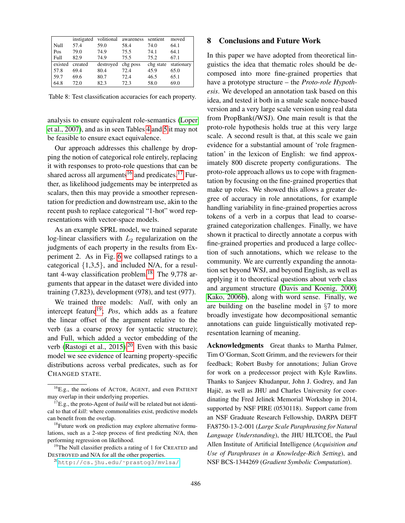|         | instigated |           | volitional awareness | sentient  | moved      |
|---------|------------|-----------|----------------------|-----------|------------|
| Null    | 57.4       | 59.0      | 58.4                 | 74.0      | 64.1       |
| Pos     | 79.0       | 74.9      | 75.5                 | 74.1      | 64.1       |
| Full    | 82.9       | 74.9      | 75.5                 | 75.2      | 67.1       |
| existed | created    | destroyed | chg poss             | chg state | stationary |
|         |            |           |                      |           |            |
| 57.8    | 69.4       | 80.4      | 72.4                 | 45.9      | 65.0       |
| 59.7    | 69.6       | 80.7      | 72.4                 | 46.5      | 65.1       |

Table 8: Test classification accuracies for each property.

analysis to ensure equivalent role-semantics [\(Loper](#page-0-0) [et al., 2007\)](#page-0-0), and as in seen Tables [4](#page-9-0) and [5](#page-9-1) it may not be feasible to ensure exact equivalence.

Our approach addresses this challenge by dropping the notion of categorical role entirely, replacing it with responses to proto-role questions that can be shared across all arguments<sup>[16](#page-11-0)</sup> and predicates.<sup>[17](#page-11-1)</sup> Further, as likelihood judgements may be interpreted as scalars, then this may provide a smoother representation for prediction and downstream use, akin to the recent push to replace categorical "1-hot" word representations with vector-space models.

As an example SPRL model, we trained separate log-linear classifiers with  $L_2$  regularization on the judgments of each property in the results from Experiment 2. As in Fig. [6](#page-8-1) we collapsed ratings to a categorical  $\{1,3,5\}$ , and included N/A, for a resul-tant 4-way classification problem.<sup>[18](#page-11-2)</sup> The  $9,778$  arguments that appear in the dataset were divided into training (7,823), development (978), and test (977).

We trained three models: *Null*, with only an intercept feature<sup>[19](#page-11-3)</sup>; *Pos*, which adds as a feature the linear offset of the argument relative to the verb (as a coarse proxy for syntactic structure); and Full, which added a vector embedding of the verb [\(Rastogi et al., 2015\)](#page-0-0).<sup>[20](#page-11-4)</sup> Even with this basic model we see evidence of learning property-specific distributions across verbal predicates, such as for CHANGED STATE.

<span id="page-11-3"></span><sup>19</sup>The Null classifier predicts a rating of 1 for CREATED and DESTROYED and N/A for all the other properties.

# 8 Conclusions and Future Work

In this paper we have adopted from theoretical linguistics the idea that thematic roles should be decomposed into more fine-grained properties that have a prototype structure – the *Proto-role Hypothesis*. We developed an annotation task based on this idea, and tested it both in a smale scale nonce-based version and a very large scale version using real data from PropBank(/WSJ). One main result is that the proto-role hypothesis holds true at this very large scale. A second result is that, at this scale we gain evidence for a substantial amount of 'role fragmentation' in the lexicon of English: we find approximately 800 discrete property configurations. The proto-role approach allows us to cope with fragmentation by focusing on the fine-grained properties that make up roles. We showed this allows a greater degree of accuracy in role annotations, for example handling variability in fine-grained properties across tokens of a verb in a corpus that lead to coarsegrained categorization challenges. Finally, we have shown it practical to directly annotate a corpus with fine-grained properties and produced a large collection of such annotations, which we release to the community. We are currently expanding the annotation set beyond WSJ, and beyond English, as well as applying it to theoretical questions about verb class and argument structure [\(Davis and Koenig, 2000;](#page-0-0) [Kako, 2006b\)](#page-0-0), along with word sense. Finally, we are building on the baseline model in §7 to more broadly investigate how decompositional semantic annotations can guide linguistically motivated representation learning of meaning.

Acknowledgments Great thanks to Martha Palmer, Tim O'Gorman, Scott Grimm, and the reviewers for their feedback; Robert Busby for annotations; Julian Grove for work on a predecessor project with Kyle Rawlins. Thanks to Sanjeev Khudanpur, John J. Godrey, and Jan Hajič, as well as JHU and Charles University for coordinating the Fred Jelinek Memorial Workshop in 2014, supported by NSF PIRE (0530118). Support came from an NSF Graduate Research Fellowship, DARPA DEFT FA8750-13-2-001 (*Large Scale Paraphrasing for Natural Language Understanding*), the JHU HLTCOE, the Paul Allen Institute of Artificial Intelligence (*Acquisition and Use of Paraphrases in a Knowledge-Rich Setting*), and NSF BCS-1344269 (*Gradient Symbolic Computation*).

<span id="page-11-0"></span><sup>16</sup>E.g., the notions of ACTOR, AGENT, and even PATIENT may overlap in their underlying properties.

<span id="page-11-1"></span><sup>&</sup>lt;sup>17</sup>E.g., the proto-Agent of *build* will be related but not identical to that of *kill*: where commonalities exist, predictive models can benefit from the overlap.

<span id="page-11-2"></span><sup>&</sup>lt;sup>18</sup>Future work on prediction may explore alternative formulations, such as a 2-step process of first predicting N/A, then performing regression on likelihood.

<span id="page-11-4"></span><sup>20</sup>[http://cs.jhu.edu/˜prastog3/mvlsa/](http://cs.jhu.edu/~prastog3/mvlsa/)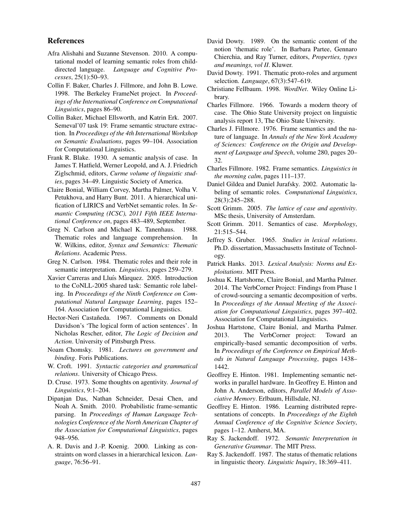#### References

- Afra Alishahi and Suzanne Stevenson. 2010. A computational model of learning semantic roles from childdirected language. *Language and Cognitive Processes*, 25(1):50–93.
- Collin F. Baker, Charles J. Fillmore, and John B. Lowe. 1998. The Berkeley FrameNet project. In *Proceedings of the International Conference on Computational Linguistics*, pages 86–90.
- Collin Baker, Michael Ellsworth, and Katrin Erk. 2007. Semeval'07 task 19: Frame semantic structure extraction. In *Proceedings of the 4th International Workshop on Semantic Evaluations*, pages 99–104. Association for Computational Linguistics.
- Frank R. Blake. 1930. A semantic analysis of case. In James T. Hatfield, Werner Leopold, and A. J. Friedrich Ziglschmid, editors, *Curme volume of linguistic studies*, pages 34–49. Linguistic Society of America.
- Claire Bonial, William Corvey, Martha Palmer, Volha V. Petukhova, and Harry Bunt. 2011. A hierarchical unification of LIRICS and VerbNet semantic roles. In *Semantic Computing (ICSC), 2011 Fifth IEEE International Conference on*, pages 483–489, September.
- Greg N. Carlson and Michael K. Tanenhaus. 1988. Thematic roles and language comprehension. In W. Wilkins, editor, *Syntax and Semantics: Thematic Relations*. Academic Press.
- Greg N. Carlson. 1984. Thematic roles and their role in semantic interpretation. *Linguistics*, pages 259–279.
- Xavier Carreras and Lluís Màrquez. 2005. Introduction to the CoNLL-2005 shared task: Semantic role labeling. In *Proceedings of the Ninth Conference on Computational Natural Language Learning*, pages 152– 164. Association for Computational Linguistics.
- Hector-Neri Castañeda. 1967. Comments on Donald Davidson's 'The logical form of action sentences'. In Nicholas Rescher, editor, *The Logic of Decision and Action*. University of Pittsburgh Press.
- Noam Chomsky. 1981. *Lectures on government and binding*. Foris Publications.
- W. Croft. 1991. *Syntactic categories and grammatical relations*. University of Chicago Press.
- D. Cruse. 1973. Some thoughts on agentivity. *Journal of Linguistics*, 9:1–204.
- Dipanjan Das, Nathan Schneider, Desai Chen, and Noah A. Smith. 2010. Probabilistic frame-semantic parsing. In *Proceedings of Human Language Technologies Conference of the North American Chapter of the Association for Computational Linguistics*, pages 948–956.
- A. R. Davis and J.-P. Koenig. 2000. Linking as constraints on word classes in a hierarchical lexicon. *Language*, 76:56–91.
- David Dowty. 1989. On the semantic content of the notion 'thematic role'. In Barbara Partee, Gennaro Chierchia, and Ray Turner, editors, *Properties, types and meanings, vol II*. Kluwer.
- David Dowty. 1991. Thematic proto-roles and argument selection. *Language*, 67(3):547–619.
- Christiane Fellbaum. 1998. *WordNet*. Wiley Online Library.
- Charles Fillmore. 1966. Towards a modern theory of case. The Ohio State University project on linguistic analysis report 13, The Ohio State University.
- Charles J. Fillmore. 1976. Frame semantics and the nature of language. In *Annals of the New York Academy of Sciences: Conference on the Origin and Development of Language and Speech*, volume 280, pages 20– 32.
- Charles Fillmore. 1982. Frame semantics. *Linguistics in the morning calm*, pages 111–137.
- Daniel Gildea and Daniel Jurafsky. 2002. Automatic labeling of semantic roles. *Computational Linguistics*, 28(3):245–288.
- Scott Grimm. 2005. *The lattice of case and agentivity*. MSc thesis, University of Amsterdam.
- Scott Grimm. 2011. Semantics of case. *Morphology*, 21:515–544.
- Jeffrey S. Gruber. 1965. *Studies in lexical relations*. Ph.D. dissertation, Massachusetts Institute of Technology.
- Patrick Hanks. 2013. *Lexical Analysis: Norms and Exploitations*. MIT Press.
- Joshua K. Hartshorne, Claire Bonial, and Martha Palmer. 2014. The VerbCorner Project: Findings from Phase 1 of crowd-sourcing a semantic decomposition of verbs. In *Proceedings of the Annual Meeting of the Association for Computational Linguistics*, pages 397–402. Association for Computational Linguistics.
- Joshua Hartstone, Claire Bonial, and Martha Palmer. 2013. The VerbCorner project: Toward an empirically-based semantic decomposition of verbs. In *Proceedings of the Conference on Empirical Methods in Natural Language Processing*, pages 1438– 1442.
- Geoffrey E. Hinton. 1981. Implementing semantic networks in parallel hardware. In Geoffrey E. Hinton and John A. Anderson, editors, *Parallel Models of Associative Memory*. Erlbaum, Hillsdale, NJ.
- Geoffrey E. Hinton. 1986. Learning distributed representations of concepts. In *Proceedings of the Eighth Annual Conference of the Cognitive Science Society*, pages 1–12. Amherst, MA.
- Ray S. Jackendoff. 1972. *Semantic Interpretation in Generative Grammar*. The MIT Press.
- Ray S. Jackendoff. 1987. The status of thematic relations in linguistic theory. *Linguistic Inquiry*, 18:369–411.